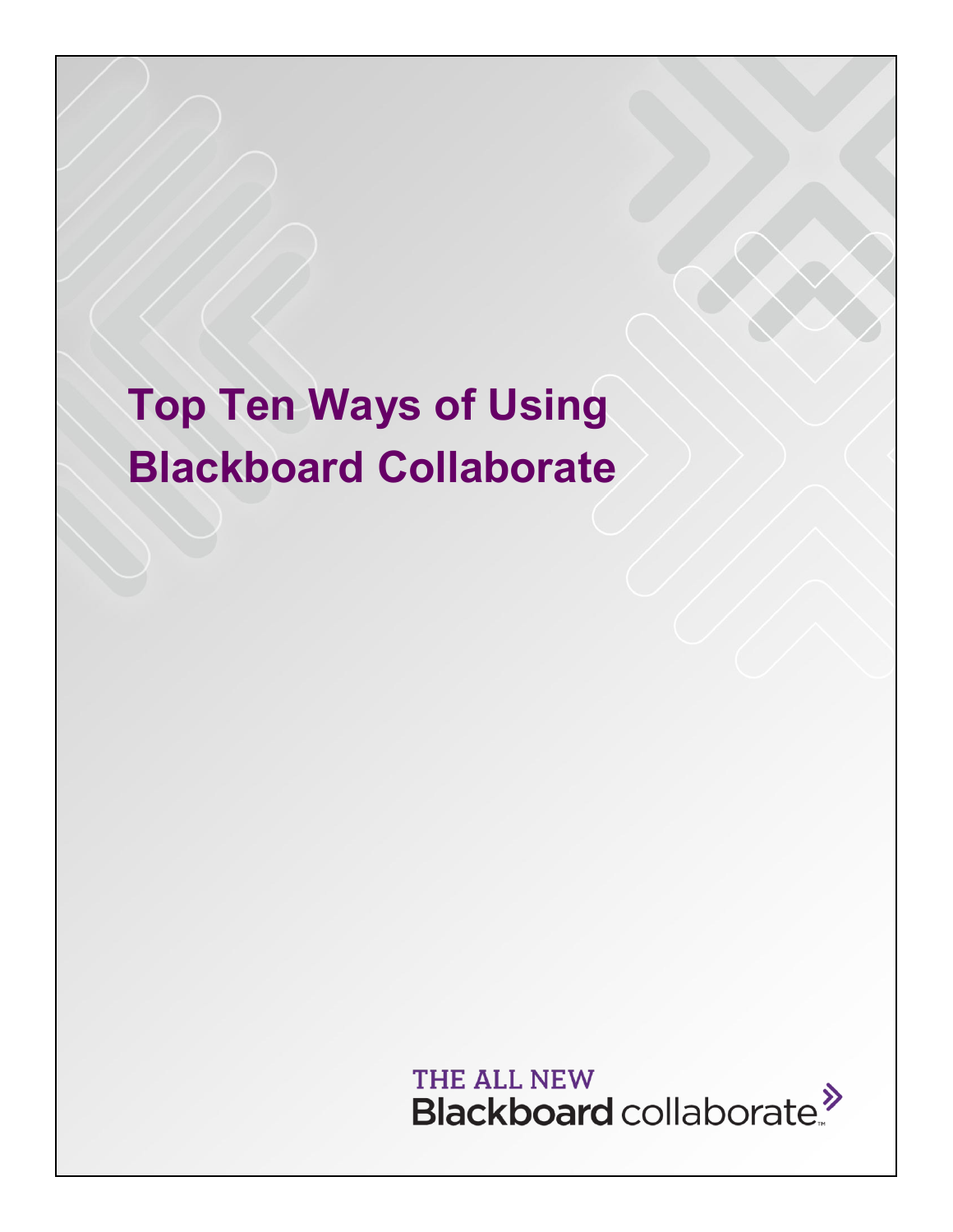# **Top Ten Ways of Using Blackboard Collaborate**

THE ALL NEW Blackboard collaborate.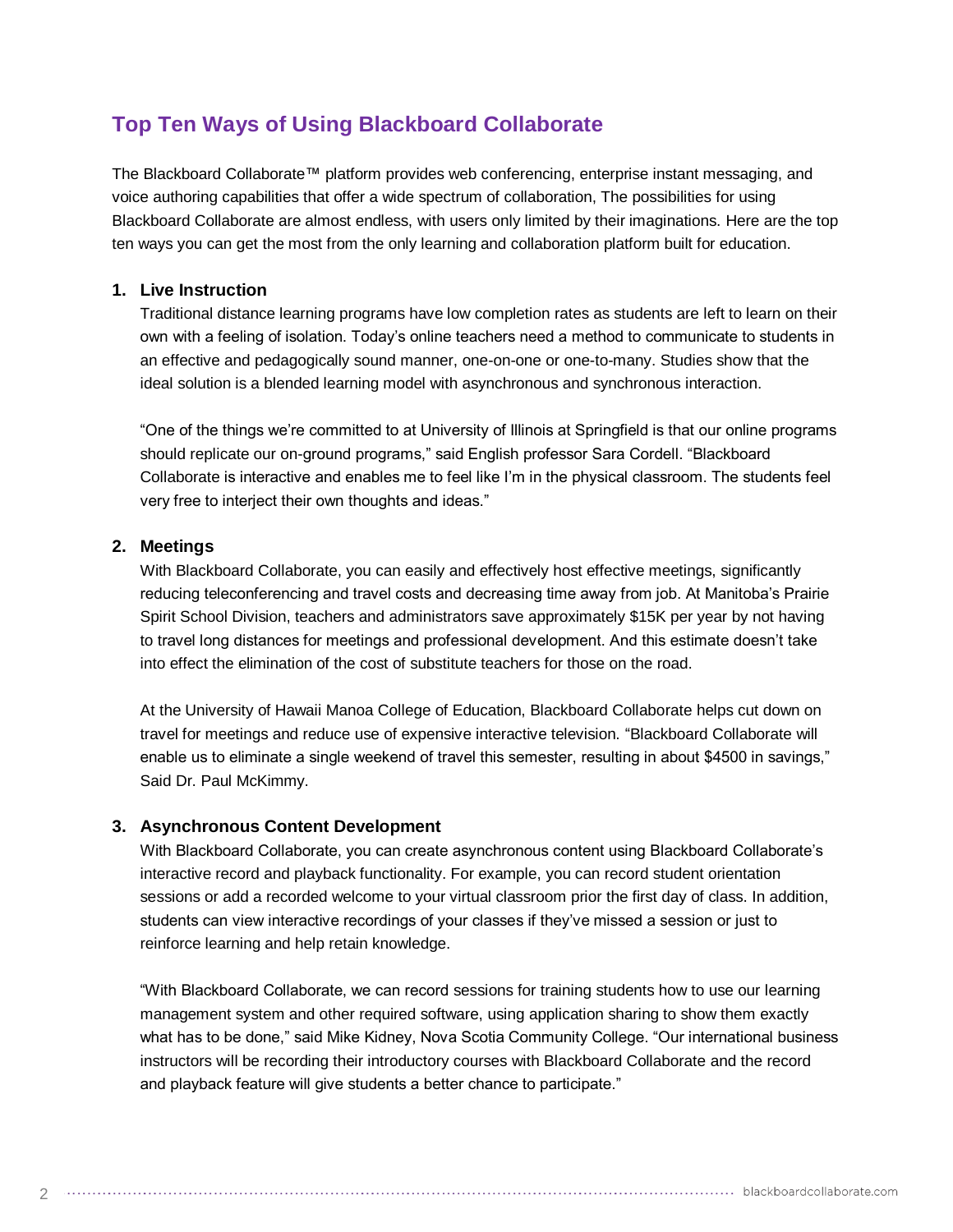# **Top Ten Ways of Using Blackboard Collaborate**

The Blackboard Collaborate™ platform provides web conferencing, enterprise instant messaging, and voice authoring capabilities that offer a wide spectrum of collaboration, The possibilities for using Blackboard Collaborate are almost endless, with users only limited by their imaginations. Here are the top ten ways you can get the most from the only learning and collaboration platform built for education.

# **1. Live Instruction**

Traditional distance learning programs have low completion rates as students are left to learn on their own with a feeling of isolation. Today's online teachers need a method to communicate to students in an effective and pedagogically sound manner, one-on-one or one-to-many. Studies show that the ideal solution is a blended learning model with asynchronous and synchronous interaction.

"One of the things we're committed to at University of Illinois at Springfield is that our online programs should replicate our on-ground programs," said English professor Sara Cordell. "Blackboard Collaborate is interactive and enables me to feel like I'm in the physical classroom. The students feel very free to interject their own thoughts and ideas."

## **2. Meetings**

With Blackboard Collaborate, you can easily and effectively host effective meetings, significantly reducing teleconferencing and travel costs and decreasing time away from job. At Manitoba's Prairie Spirit School Division, teachers and administrators save approximately \$15K per year by not having to travel long distances for meetings and professional development. And this estimate doesn't take into effect the elimination of the cost of substitute teachers for those on the road.

At the University of Hawaii Manoa College of Education, Blackboard Collaborate helps cut down on travel for meetings and reduce use of expensive interactive television. "Blackboard Collaborate will enable us to eliminate a single weekend of travel this semester, resulting in about \$4500 in savings," Said Dr. Paul McKimmy.

# **3. Asynchronous Content Development**

With Blackboard Collaborate, you can create asynchronous content using Blackboard Collaborate's interactive record and playback functionality. For example, you can record student orientation sessions or add a recorded welcome to your virtual classroom prior the first day of class. In addition, students can view interactive recordings of your classes if they've missed a session or just to reinforce learning and help retain knowledge.

"With Blackboard Collaborate, we can record sessions for training students how to use our learning management system and other required software, using application sharing to show them exactly what has to be done," said Mike Kidney, Nova Scotia Community College. "Our international business instructors will be recording their introductory courses with Blackboard Collaborate and the record and playback feature will give students a better chance to participate."

 $\mathcal{D}$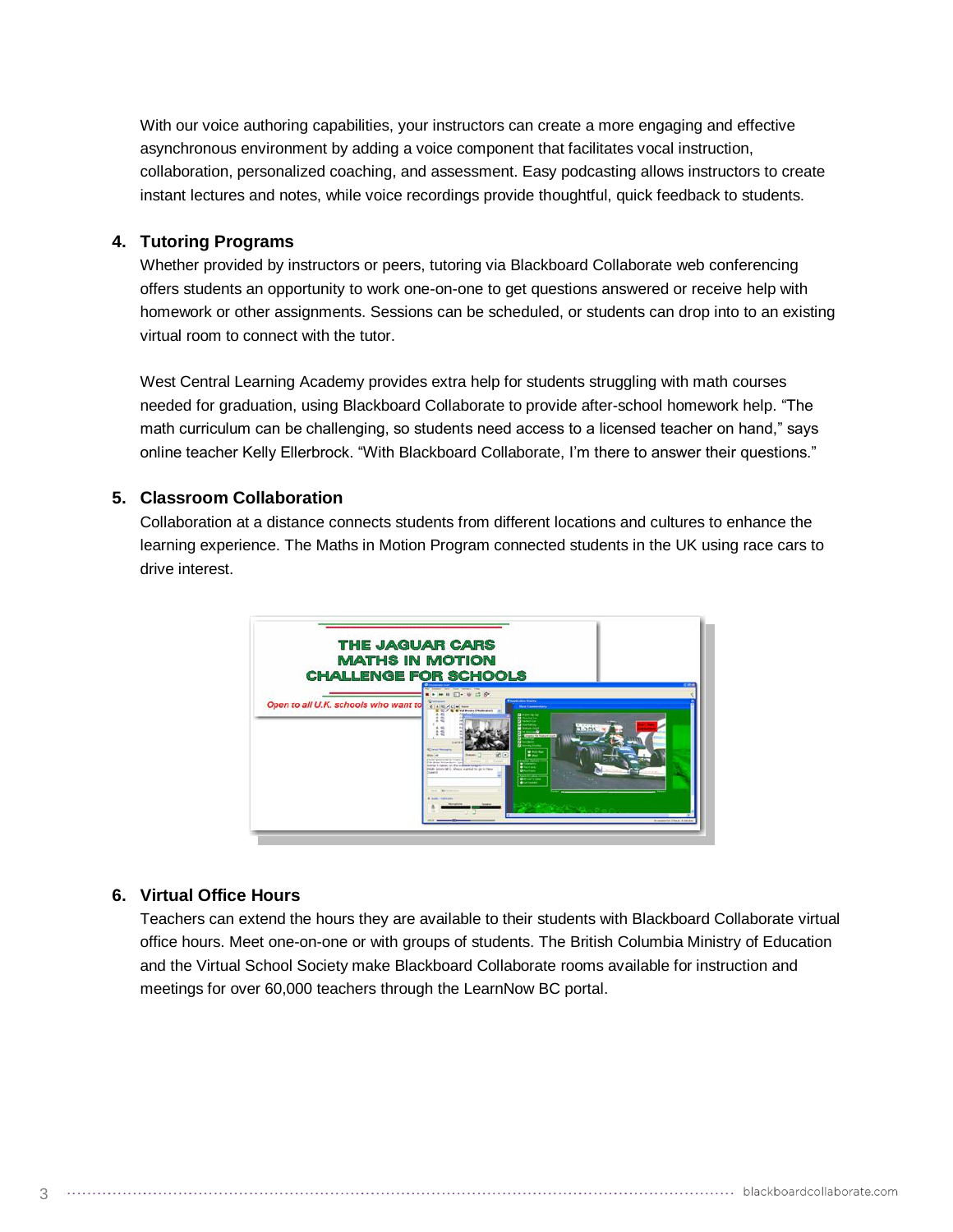With our voice authoring capabilities, your instructors can create a more engaging and effective asynchronous environment by adding a voice component that facilitates vocal instruction, collaboration, personalized coaching, and assessment. Easy podcasting allows instructors to create instant lectures and notes, while voice recordings provide thoughtful, quick feedback to students.

#### **4. Tutoring Programs**

Whether provided by instructors or peers, tutoring via Blackboard Collaborate web conferencing offers students an opportunity to work one-on-one to get questions answered or receive help with homework or other assignments. Sessions can be scheduled, or students can drop into to an existing virtual room to connect with the tutor.

West Central Learning Academy provides extra help for students struggling with math courses needed for graduation, using Blackboard Collaborate to provide after-school homework help. "The math curriculum can be challenging, so students need access to a licensed teacher on hand," says online teacher Kelly Ellerbrock. "With Blackboard Collaborate, I'm there to answer their questions."

## **5. Classroom Collaboration**

Collaboration at a distance connects students from different locations and cultures to enhance the learning experience. The Maths in Motion Program connected students in the UK using race cars to drive interest.



#### **6. Virtual Office Hours**

3

Teachers can extend the hours they are available to their students with Blackboard Collaborate virtual office hours. Meet one-on-one or with groups of students. The British Columbia Ministry of Education and the Virtual School Society make Blackboard Collaborate rooms available for instruction and meetings for over 60,000 teachers through the LearnNow BC portal.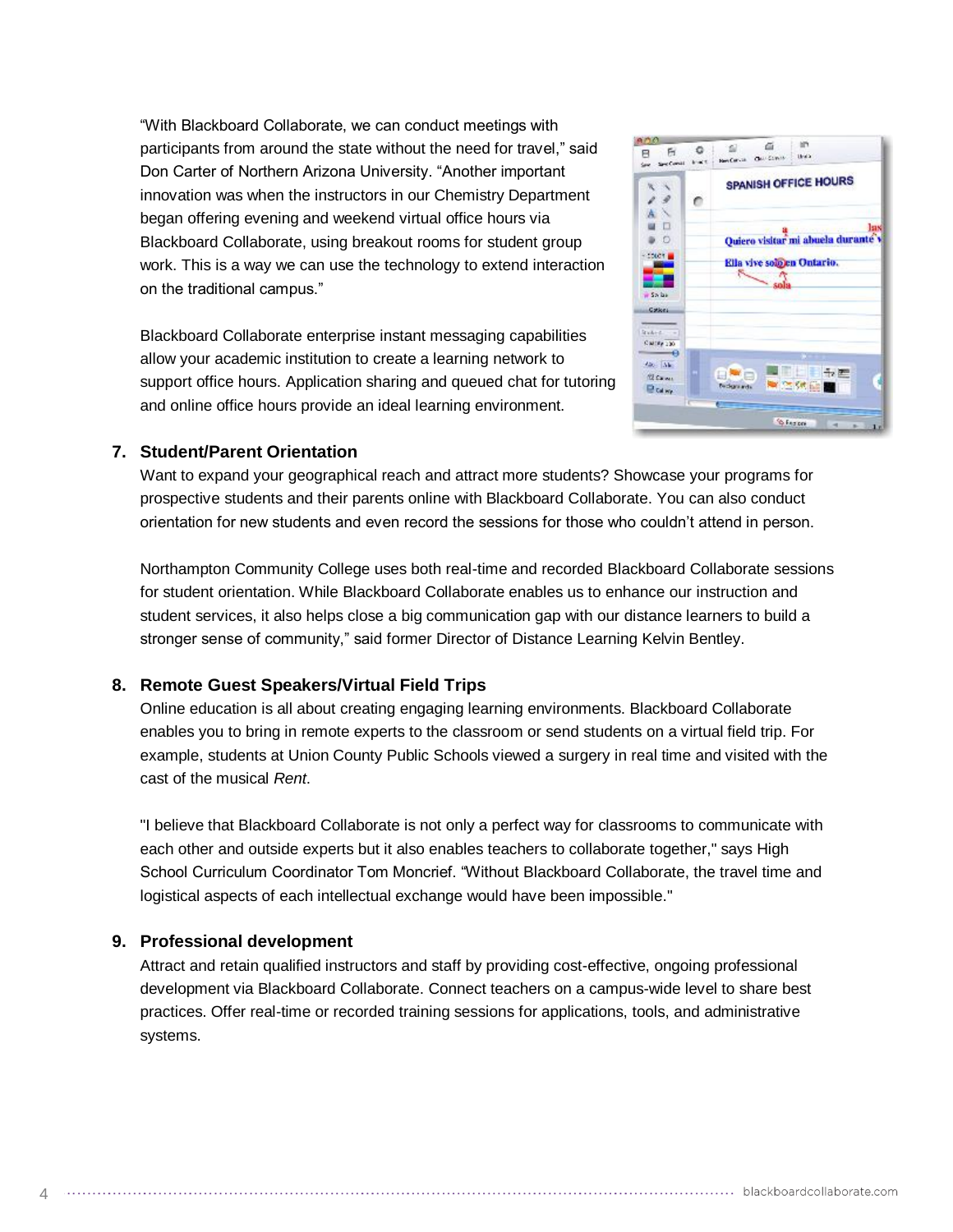"With Blackboard Collaborate, we can conduct meetings with participants from around the state without the need for travel," said Don Carter of Northern Arizona University. "Another important innovation was when the instructors in our Chemistry Department began offering evening and weekend virtual office hours via Blackboard Collaborate, using breakout rooms for student group work. This is a way we can use the technology to extend interaction on the traditional campus."

Blackboard Collaborate enterprise instant messaging capabilities allow your academic institution to create a learning network to support office hours. Application sharing and queued chat for tutoring and online office hours provide an ideal learning environment.



## **7. Student/Parent Orientation**

Want to expand your geographical reach and attract more students? Showcase your programs for prospective students and their parents online with Blackboard Collaborate. You can also conduct orientation for new students and even record the sessions for those who couldn't attend in person.

Northampton Community College uses both real-time and recorded Blackboard Collaborate sessions for student orientation. While Blackboard Collaborate enables us to enhance our instruction and student services, it also helps close a big communication gap with our distance learners to build a stronger sense of community," said former Director of Distance Learning Kelvin Bentley.

# **8. Remote Guest Speakers/Virtual Field Trips**

Online education is all about creating engaging learning environments. Blackboard Collaborate enables you to bring in remote experts to the classroom or send students on a virtual field trip. For example, students at Union County Public Schools viewed a surgery in real time and visited with the cast of the musical *Rent*.

"I believe that Blackboard Collaborate is not only a perfect way for classrooms to communicate with each other and outside experts but it also enables teachers to collaborate together," says High School Curriculum Coordinator Tom Moncrief. "Without Blackboard Collaborate, the travel time and logistical aspects of each intellectual exchange would have been impossible."

#### **9. Professional development**

 $\Delta$ 

Attract and retain qualified instructors and staff by providing cost-effective, ongoing professional development via Blackboard Collaborate. Connect teachers on a campus-wide level to share best practices. Offer real-time or recorded training sessions for applications, tools, and administrative systems.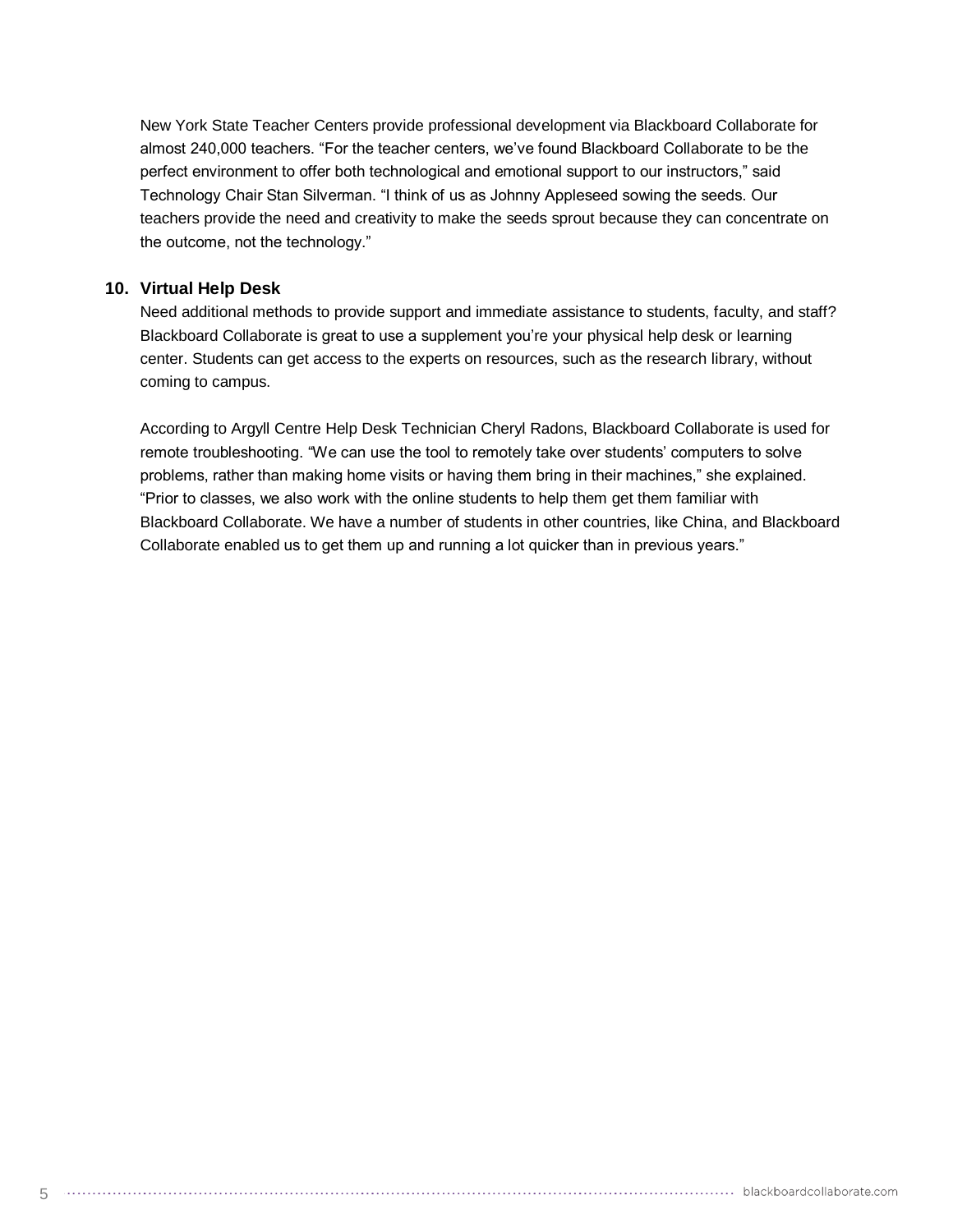New York State Teacher Centers provide professional development via Blackboard Collaborate for almost 240,000 teachers. "For the teacher centers, we've found Blackboard Collaborate to be the perfect environment to offer both technological and emotional support to our instructors," said Technology Chair Stan Silverman. "I think of us as Johnny Appleseed sowing the seeds. Our teachers provide the need and creativity to make the seeds sprout because they can concentrate on the outcome, not the technology."

#### **10. Virtual Help Desk**

Need additional methods to provide support and immediate assistance to students, faculty, and staff? Blackboard Collaborate is great to use a supplement you're your physical help desk or learning center. Students can get access to the experts on resources, such as the research library, without coming to campus.

According to Argyll Centre Help Desk Technician Cheryl Radons, Blackboard Collaborate is used for remote troubleshooting. "We can use the tool to remotely take over students' computers to solve problems, rather than making home visits or having them bring in their machines," she explained. "Prior to classes, we also work with the online students to help them get them familiar with Blackboard Collaborate. We have a number of students in other countries, like China, and Blackboard Collaborate enabled us to get them up and running a lot quicker than in previous years."

5